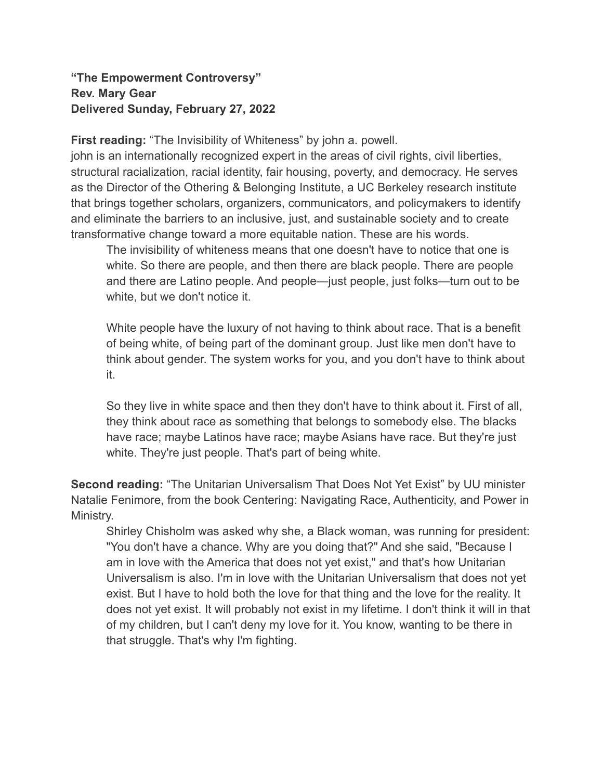## **"The Empowerment Controversy" Rev. Mary Gear Delivered Sunday, February 27, 2022**

**First reading:** "The Invisibility of Whiteness" by john a. powell.

john is an internationally recognized expert in the areas of civil rights, civil liberties, structural racialization, racial identity, fair housing, poverty, and democracy. He serves as the Director of the Othering & Belonging Institute, a UC Berkeley research institute that brings together scholars, organizers, communicators, and policymakers to identify and eliminate the barriers to an inclusive, just, and sustainable society and to create transformative change toward a more equitable nation. These are his words.

The invisibility of whiteness means that one doesn't have to notice that one is white. So there are people, and then there are black people. There are people and there are Latino people. And people—just people, just folks—turn out to be white, but we don't notice it.

White people have the luxury of not having to think about race. That is a benefit of being white, of being part of the dominant group. Just like men don't have to think about gender. The system works for you, and you don't have to think about it.

So they live in white space and then they don't have to think about it. First of all, they think about race as something that belongs to somebody else. The blacks have race; maybe Latinos have race; maybe Asians have race. But they're just white. They're just people. That's part of being white.

**Second reading:** "The Unitarian Universalism That Does Not Yet Exist" by UU minister Natalie Fenimore, from the book Centering: Navigating Race, Authenticity, and Power in Ministry.

Shirley Chisholm was asked why she, a Black woman, was running for president: "You don't have a chance. Why are you doing that?" And she said, "Because I am in love with the America that does not yet exist," and that's how Unitarian Universalism is also. I'm in love with the Unitarian Universalism that does not yet exist. But I have to hold both the love for that thing and the love for the reality. It does not yet exist. It will probably not exist in my lifetime. I don't think it will in that of my children, but I can't deny my love for it. You know, wanting to be there in that struggle. That's why I'm fighting.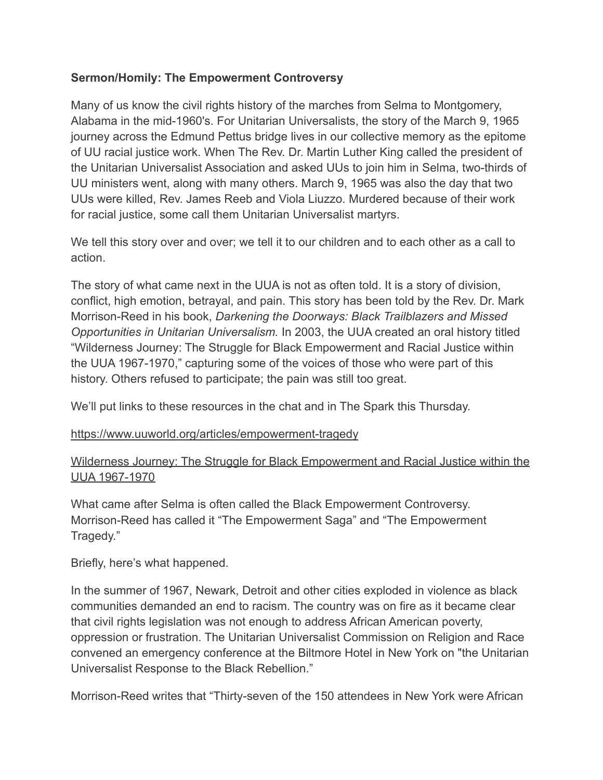## **Sermon/Homily: The Empowerment Controversy**

Many of us know the civil rights history of the marches from Selma to Montgomery, Alabama in the mid-1960's. For Unitarian Universalists, the story of the March 9, 1965 journey across the Edmund Pettus bridge lives in our collective memory as the epitome of UU racial justice work. When The Rev. Dr. Martin Luther King called the president of the Unitarian Universalist Association and asked UUs to join him in Selma, two-thirds of UU ministers went, along with many others. March 9, 1965 was also the day that two UUs were killed, Rev. James Reeb and Viola Liuzzo. Murdered because of their work for racial justice, some call them Unitarian Universalist martyrs.

We tell this story over and over; we tell it to our children and to each other as a call to action.

The story of what came next in the UUA is not as often told. It is a story of division, conflict, high emotion, betrayal, and pain. This story has been told by the Rev. Dr. Mark Morrison-Reed in his book, *Darkening the Doorways: Black Trailblazers and Missed Opportunities in Unitarian Universalism.* In 2003, the UUA created an oral history titled "Wilderness Journey: The Struggle for Black Empowerment and Racial Justice within the UUA 1967-1970," capturing some of the voices of those who were part of this history. Others refused to participate; the pain was still too great.

We'll put links to these resources in the chat and in The Spark this Thursday.

## <https://www.uuworld.org/articles/empowerment-tragedy>

## [Wilderness Journey: The Struggle for Black Empowerment and Racial Justice within the](https://www.youtube.com/watch?v=yDsD3mEtwjM) [UUA 1967-1970](https://www.youtube.com/watch?v=yDsD3mEtwjM)

What came after Selma is often called the Black Empowerment Controversy. Morrison-Reed has called it "The Empowerment Saga" and "The Empowerment Tragedy."

Briefly, here's what happened.

In the summer of 1967, Newark, Detroit and other cities exploded in violence as black communities demanded an end to racism. The country was on fire as it became clear that civil rights legislation was not enough to address African American poverty, oppression or frustration. The Unitarian Universalist Commission on Religion and Race convened an emergency conference at the Biltmore Hotel in New York on "the Unitarian Universalist Response to the Black Rebellion."

Morrison-Reed writes that "Thirty-seven of the 150 attendees in New York were African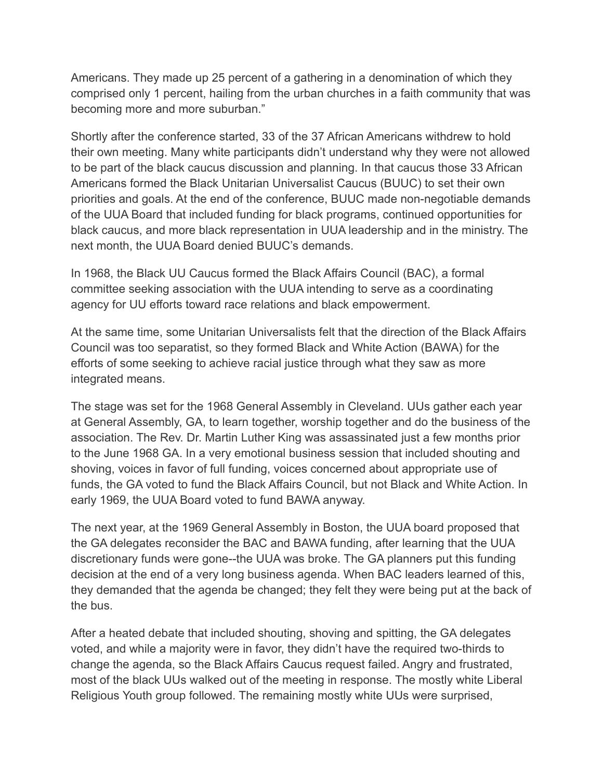Americans. They made up 25 percent of a gathering in a denomination of which they comprised only 1 percent, hailing from the urban churches in a faith community that was becoming more and more suburban."

Shortly after the conference started, 33 of the 37 African Americans withdrew to hold their own meeting. Many white participants didn't understand why they were not allowed to be part of the black caucus discussion and planning. In that caucus those 33 African Americans formed the Black Unitarian Universalist Caucus (BUUC) to set their own priorities and goals. At the end of the conference, BUUC made non-negotiable demands of the UUA Board that included funding for black programs, continued opportunities for black caucus, and more black representation in UUA leadership and in the ministry. The next month, the UUA Board denied BUUC's demands.

In 1968, the Black UU Caucus formed the Black Affairs Council (BAC), a formal committee seeking association with the UUA intending to serve as a coordinating agency for UU efforts toward race relations and black empowerment.

At the same time, some Unitarian Universalists felt that the direction of the Black Affairs Council was too separatist, so they formed Black and White Action (BAWA) for the efforts of some seeking to achieve racial justice through what they saw as more integrated means.

The stage was set for the 1968 General Assembly in Cleveland. UUs gather each year at General Assembly, GA, to learn together, worship together and do the business of the association. The Rev. Dr. Martin Luther King was assassinated just a few months prior to the June 1968 GA. In a very emotional business session that included shouting and shoving, voices in favor of full funding, voices concerned about appropriate use of funds, the GA voted to fund the Black Affairs Council, but not Black and White Action. In early 1969, the UUA Board voted to fund BAWA anyway.

The next year, at the 1969 General Assembly in Boston, the UUA board proposed that the GA delegates reconsider the BAC and BAWA funding, after learning that the UUA discretionary funds were gone--the UUA was broke. The GA planners put this funding decision at the end of a very long business agenda. When BAC leaders learned of this, they demanded that the agenda be changed; they felt they were being put at the back of the bus.

After a heated debate that included shouting, shoving and spitting, the GA delegates voted, and while a majority were in favor, they didn't have the required two-thirds to change the agenda, so the Black Affairs Caucus request failed. Angry and frustrated, most of the black UUs walked out of the meeting in response. The mostly white Liberal Religious Youth group followed. The remaining mostly white UUs were surprised,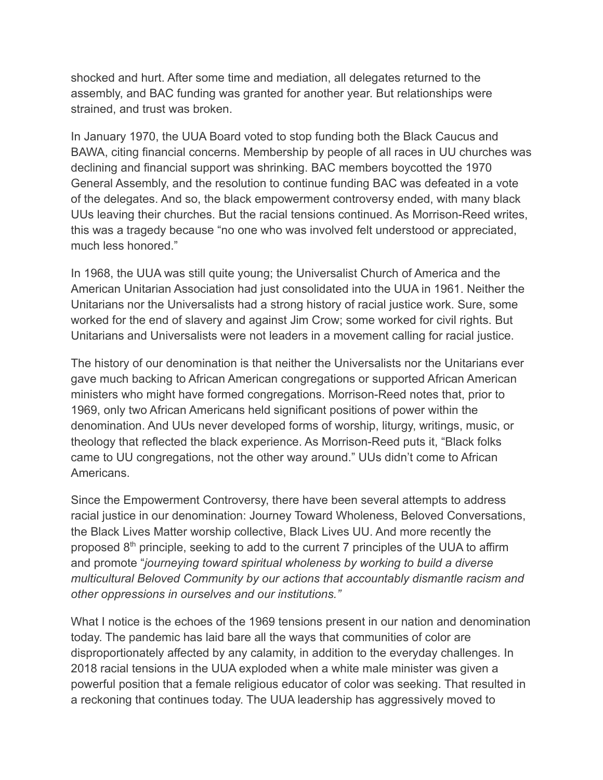shocked and hurt. After some time and mediation, all delegates returned to the assembly, and BAC funding was granted for another year. But relationships were strained, and trust was broken.

In January 1970, the UUA Board voted to stop funding both the Black Caucus and BAWA, citing financial concerns. Membership by people of all races in UU churches was declining and financial support was shrinking. BAC members boycotted the 1970 General Assembly, and the resolution to continue funding BAC was defeated in a vote of the delegates. And so, the black empowerment controversy ended, with many black UUs leaving their churches. But the racial tensions continued. As Morrison-Reed writes, this was a tragedy because "no one who was involved felt understood or appreciated, much less honored."

In 1968, the UUA was still quite young; the Universalist Church of America and the American Unitarian Association had just consolidated into the UUA in 1961. Neither the Unitarians nor the Universalists had a strong history of racial justice work. Sure, some worked for the end of slavery and against Jim Crow; some worked for civil rights. But Unitarians and Universalists were not leaders in a movement calling for racial justice.

The history of our denomination is that neither the Universalists nor the Unitarians ever gave much backing to African American congregations or supported African American ministers who might have formed congregations. Morrison-Reed notes that, prior to 1969, only two African Americans held significant positions of power within the denomination. And UUs never developed forms of worship, liturgy, writings, music, or theology that reflected the black experience. As Morrison-Reed puts it, "Black folks came to UU congregations, not the other way around." UUs didn't come to African Americans.

Since the Empowerment Controversy, there have been several attempts to address racial justice in our denomination: Journey Toward Wholeness, Beloved Conversations, the Black Lives Matter worship collective, Black Lives UU. And more recently the proposed  $8<sup>th</sup>$  principle, seeking to add to the current 7 principles of the UUA to affirm and promote "*journeying toward spiritual wholeness by working to build a diverse multicultural Beloved Community by our actions that accountably dismantle racism and other oppressions in ourselves and our institutions."*

What I notice is the echoes of the 1969 tensions present in our nation and denomination today. The pandemic has laid bare all the ways that communities of color are disproportionately affected by any calamity, in addition to the everyday challenges. In 2018 racial tensions in the UUA exploded when a white male minister was given a powerful position that a female religious educator of color was seeking. That resulted in a reckoning that continues today. The UUA leadership has aggressively moved to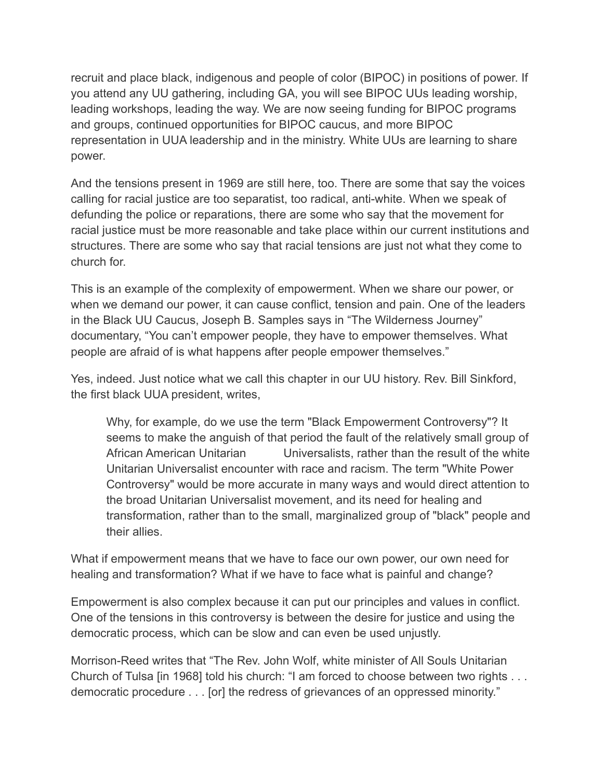recruit and place black, indigenous and people of color (BIPOC) in positions of power. If you attend any UU gathering, including GA, you will see BIPOC UUs leading worship, leading workshops, leading the way. We are now seeing funding for BIPOC programs and groups, continued opportunities for BIPOC caucus, and more BIPOC representation in UUA leadership and in the ministry. White UUs are learning to share power.

And the tensions present in 1969 are still here, too. There are some that say the voices calling for racial justice are too separatist, too radical, anti-white. When we speak of defunding the police or reparations, there are some who say that the movement for racial justice must be more reasonable and take place within our current institutions and structures. There are some who say that racial tensions are just not what they come to church for.

This is an example of the complexity of empowerment. When we share our power, or when we demand our power, it can cause conflict, tension and pain. One of the leaders in the Black UU Caucus, Joseph B. Samples says in "The Wilderness Journey" documentary, "You can't empower people, they have to empower themselves. What people are afraid of is what happens after people empower themselves."

Yes, indeed. Just notice what we call this chapter in our UU history. Rev. Bill Sinkford, the first black UUA president, writes,

Why, for example, do we use the term "Black Empowerment Controversy"? It seems to make the anguish of that period the fault of the relatively small group of African American Unitarian Universalists, rather than the result of the white Unitarian Universalist encounter with race and racism. The term "White Power Controversy" would be more accurate in many ways and would direct attention to the broad Unitarian Universalist movement, and its need for healing and transformation, rather than to the small, marginalized group of "black" people and their allies.

What if empowerment means that we have to face our own power, our own need for healing and transformation? What if we have to face what is painful and change?

Empowerment is also complex because it can put our principles and values in conflict. One of the tensions in this controversy is between the desire for justice and using the democratic process, which can be slow and can even be used unjustly.

Morrison-Reed writes that "The Rev. John Wolf, white minister of All Souls Unitarian Church of Tulsa [in 1968] told his church: "I am forced to choose between two rights . . . democratic procedure . . . [or] the redress of grievances of an oppressed minority."